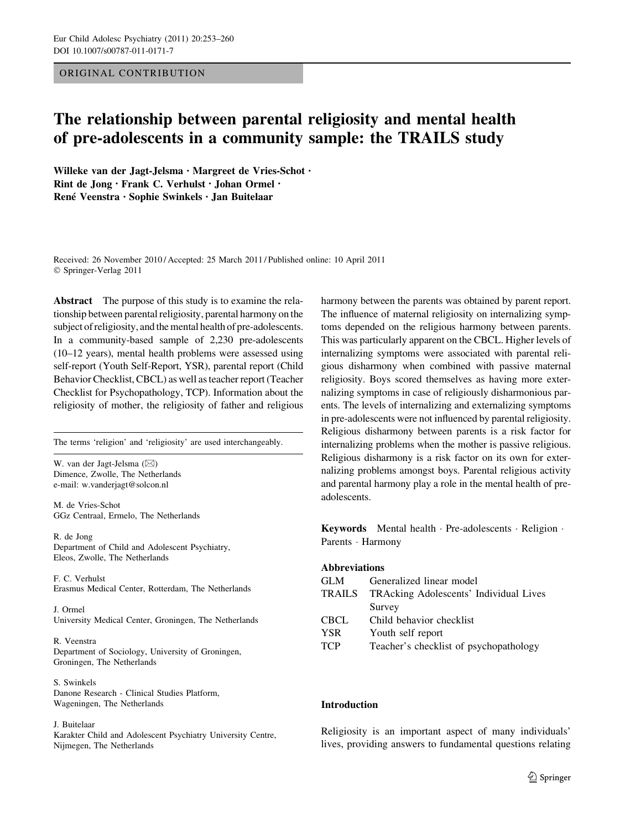## ORIGINAL CONTRIBUTION

# The relationship between parental religiosity and mental health of pre-adolescents in a community sample: the TRAILS study

Willeke van der Jagt-Jelsma • Margreet de Vries-Schot • Rint de Jong • Frank C. Verhulst • Johan Ormel • René Veenstra · Sophie Swinkels · Jan Buitelaar

Received: 26 November 2010 / Accepted: 25 March 2011 / Published online: 10 April 2011 © Springer-Verlag 2011

Abstract The purpose of this study is to examine the relationship between parental religiosity, parental harmony on the subject of religiosity, and the mental health of pre-adolescents. In a community-based sample of 2,230 pre-adolescents (10–12 years), mental health problems were assessed using self-report (Youth Self-Report, YSR), parental report (Child Behavior Checklist, CBCL) as well as teacher report (Teacher Checklist for Psychopathology, TCP). Information about the religiosity of mother, the religiosity of father and religious

The terms 'religion' and 'religiosity' are used interchangeably.

W. van der Jagt-Jelsma ( $\boxtimes$ ) Dimence, Zwolle, The Netherlands e-mail: w.vanderjagt@solcon.nl

M. de Vries-Schot GGz Centraal, Ermelo, The Netherlands

R. de Jong Department of Child and Adolescent Psychiatry, Eleos, Zwolle, The Netherlands

F. C. Verhulst Erasmus Medical Center, Rotterdam, The Netherlands

J. Ormel University Medical Center, Groningen, The Netherlands

R. Veenstra Department of Sociology, University of Groningen, Groningen, The Netherlands

S. Swinkels Danone Research - Clinical Studies Platform, Wageningen, The Netherlands

#### J. Buitelaar

Karakter Child and Adolescent Psychiatry University Centre, Nijmegen, The Netherlands

harmony between the parents was obtained by parent report. The influence of maternal religiosity on internalizing symptoms depended on the religious harmony between parents. This was particularly apparent on the CBCL. Higher levels of internalizing symptoms were associated with parental religious disharmony when combined with passive maternal religiosity. Boys scored themselves as having more externalizing symptoms in case of religiously disharmonious parents. The levels of internalizing and externalizing symptoms in pre-adolescents were not influenced by parental religiosity. Religious disharmony between parents is a risk factor for internalizing problems when the mother is passive religious. Religious disharmony is a risk factor on its own for externalizing problems amongst boys. Parental religious activity and parental harmony play a role in the mental health of preadolescents.

Keywords Mental health · Pre-adolescents · Religion · Parents · Harmony

## Abbreviations

| GLM           | Generalized linear model               |
|---------------|----------------------------------------|
| <b>TRAILS</b> | TRAcking Adolescents' Individual Lives |
|               | Survey                                 |
| <b>CBCL</b>   | Child behavior checklist               |
| <b>YSR</b>    | Youth self report                      |
| <b>TCP</b>    | Teacher's checklist of psychopathology |
|               |                                        |

## Introduction

Religiosity is an important aspect of many individuals' lives, providing answers to fundamental questions relating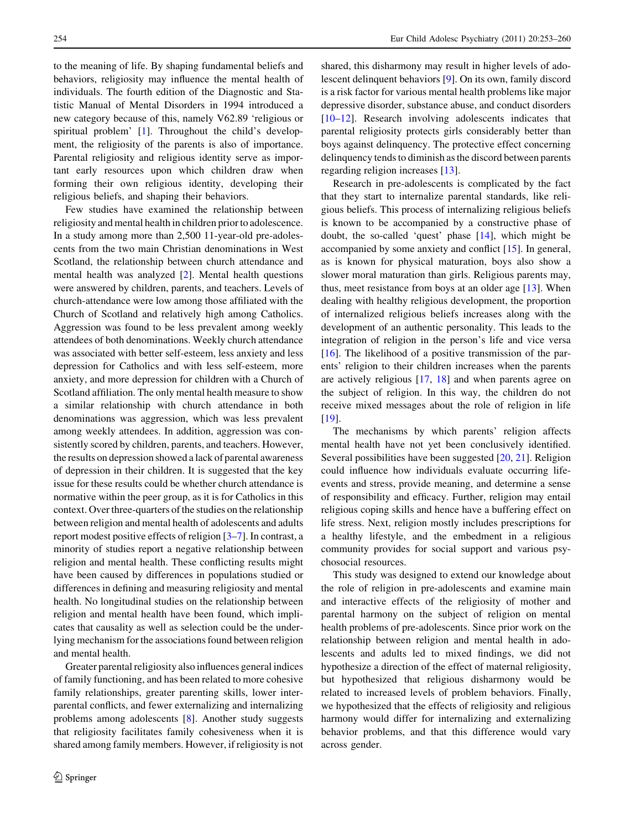to the meaning of life. By shaping fundamental beliefs and behaviors, religiosity may influence the mental health of individuals. The fourth edition of the Diagnostic and Statistic Manual of Mental Disorders in 1994 introduced a new category because of this, namely V62.89 'religious or spiritual problem' [[1\]](#page-6-0). Throughout the child's development, the religiosity of the parents is also of importance. Parental religiosity and religious identity serve as important early resources upon which children draw when forming their own religious identity, developing their religious beliefs, and shaping their behaviors.

Few studies have examined the relationship between religiosity and mental health in children prior to adolescence. In a study among more than 2,500 11-year-old pre-adolescents from the two main Christian denominations in West Scotland, the relationship between church attendance and mental health was analyzed [[2\]](#page-6-0). Mental health questions were answered by children, parents, and teachers. Levels of church-attendance were low among those affiliated with the Church of Scotland and relatively high among Catholics. Aggression was found to be less prevalent among weekly attendees of both denominations. Weekly church attendance was associated with better self-esteem, less anxiety and less depression for Catholics and with less self-esteem, more anxiety, and more depression for children with a Church of Scotland affiliation. The only mental health measure to show a similar relationship with church attendance in both denominations was aggression, which was less prevalent among weekly attendees. In addition, aggression was consistently scored by children, parents, and teachers. However, the results on depression showed a lack of parental awareness of depression in their children. It is suggested that the key issue for these results could be whether church attendance is normative within the peer group, as it is for Catholics in this context. Over three-quarters of the studies on the relationship between religion and mental health of adolescents and adults report modest positive effects of religion [[3–7\]](#page-6-0). In contrast, a minority of studies report a negative relationship between religion and mental health. These conflicting results might have been caused by differences in populations studied or differences in defining and measuring religiosity and mental health. No longitudinal studies on the relationship between religion and mental health have been found, which implicates that causality as well as selection could be the underlying mechanism for the associations found between religion and mental health.

Greater parental religiosity also influences general indices of family functioning, and has been related to more cohesive family relationships, greater parenting skills, lower interparental conflicts, and fewer externalizing and internalizing problems among adolescents [[8\]](#page-6-0). Another study suggests that religiosity facilitates family cohesiveness when it is shared among family members. However, if religiosity is not shared, this disharmony may result in higher levels of adolescent delinquent behaviors [\[9](#page-6-0)]. On its own, family discord is a risk factor for various mental health problems like major depressive disorder, substance abuse, and conduct disorders [\[10–12](#page-6-0)]. Research involving adolescents indicates that parental religiosity protects girls considerably better than boys against delinquency. The protective effect concerning delinquency tends to diminish as the discord between parents regarding religion increases [\[13](#page-6-0)].

Research in pre-adolescents is complicated by the fact that they start to internalize parental standards, like religious beliefs. This process of internalizing religious beliefs is known to be accompanied by a constructive phase of doubt, the so-called 'quest' phase [\[14](#page-6-0)], which might be accompanied by some anxiety and conflict [[15\]](#page-6-0). In general, as is known for physical maturation, boys also show a slower moral maturation than girls. Religious parents may, thus, meet resistance from boys at an older age [[13\]](#page-6-0). When dealing with healthy religious development, the proportion of internalized religious beliefs increases along with the development of an authentic personality. This leads to the integration of religion in the person's life and vice versa  $[16]$  $[16]$ . The likelihood of a positive transmission of the parents' religion to their children increases when the parents are actively religious [[17,](#page-7-0) [18\]](#page-7-0) and when parents agree on the subject of religion. In this way, the children do not receive mixed messages about the role of religion in life [\[19](#page-7-0)].

The mechanisms by which parents' religion affects mental health have not yet been conclusively identified. Several possibilities have been suggested [[20,](#page-7-0) [21\]](#page-7-0). Religion could influence how individuals evaluate occurring lifeevents and stress, provide meaning, and determine a sense of responsibility and efficacy. Further, religion may entail religious coping skills and hence have a buffering effect on life stress. Next, religion mostly includes prescriptions for a healthy lifestyle, and the embedment in a religious community provides for social support and various psychosocial resources.

This study was designed to extend our knowledge about the role of religion in pre-adolescents and examine main and interactive effects of the religiosity of mother and parental harmony on the subject of religion on mental health problems of pre-adolescents. Since prior work on the relationship between religion and mental health in adolescents and adults led to mixed findings, we did not hypothesize a direction of the effect of maternal religiosity, but hypothesized that religious disharmony would be related to increased levels of problem behaviors. Finally, we hypothesized that the effects of religiosity and religious harmony would differ for internalizing and externalizing behavior problems, and that this difference would vary across gender.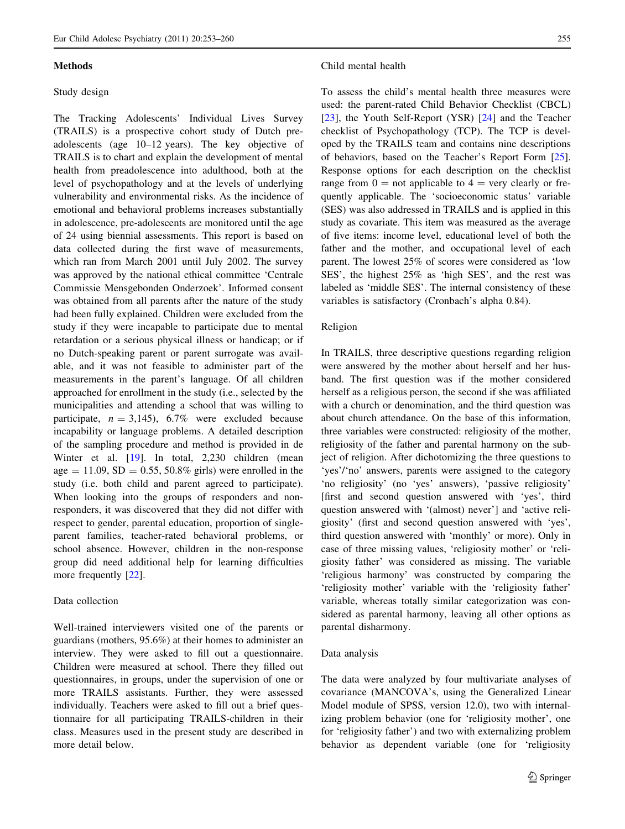#### **Methods**

## Study design

The Tracking Adolescents' Individual Lives Survey (TRAILS) is a prospective cohort study of Dutch preadolescents (age 10–12 years). The key objective of TRAILS is to chart and explain the development of mental health from preadolescence into adulthood, both at the level of psychopathology and at the levels of underlying vulnerability and environmental risks. As the incidence of emotional and behavioral problems increases substantially in adolescence, pre-adolescents are monitored until the age of 24 using biennial assessments. This report is based on data collected during the first wave of measurements, which ran from March 2001 until July 2002. The survey was approved by the national ethical committee 'Centrale Commissie Mensgebonden Onderzoek'. Informed consent was obtained from all parents after the nature of the study had been fully explained. Children were excluded from the study if they were incapable to participate due to mental retardation or a serious physical illness or handicap; or if no Dutch-speaking parent or parent surrogate was available, and it was not feasible to administer part of the measurements in the parent's language. Of all children approached for enrollment in the study (i.e., selected by the municipalities and attending a school that was willing to participate,  $n = 3,145$ , 6.7% were excluded because incapability or language problems. A detailed description of the sampling procedure and method is provided in de Winter et al. [[19\]](#page-7-0). In total, 2,230 children (mean age  $= 11.09$ , SD  $= 0.55$ , 50.8% girls) were enrolled in the study (i.e. both child and parent agreed to participate). When looking into the groups of responders and nonresponders, it was discovered that they did not differ with respect to gender, parental education, proportion of singleparent families, teacher-rated behavioral problems, or school absence. However, children in the non-response group did need additional help for learning difficulties more frequently [[22\]](#page-7-0).

## Data collection

Well-trained interviewers visited one of the parents or guardians (mothers, 95.6%) at their homes to administer an interview. They were asked to fill out a questionnaire. Children were measured at school. There they filled out questionnaires, in groups, under the supervision of one or more TRAILS assistants. Further, they were assessed individually. Teachers were asked to fill out a brief questionnaire for all participating TRAILS-children in their class. Measures used in the present study are described in more detail below.

#### Child mental health

To assess the child's mental health three measures were used: the parent-rated Child Behavior Checklist (CBCL) [\[23](#page-7-0)], the Youth Self-Report (YSR) [\[24](#page-7-0)] and the Teacher checklist of Psychopathology (TCP). The TCP is developed by the TRAILS team and contains nine descriptions of behaviors, based on the Teacher's Report Form [\[25](#page-7-0)]. Response options for each description on the checklist range from  $0 =$  not applicable to  $4 =$  very clearly or frequently applicable. The 'socioeconomic status' variable (SES) was also addressed in TRAILS and is applied in this study as covariate. This item was measured as the average of five items: income level, educational level of both the father and the mother, and occupational level of each parent. The lowest 25% of scores were considered as 'low SES', the highest 25% as 'high SES', and the rest was labeled as 'middle SES'. The internal consistency of these variables is satisfactory (Cronbach's alpha 0.84).

## Religion

In TRAILS, three descriptive questions regarding religion were answered by the mother about herself and her husband. The first question was if the mother considered herself as a religious person, the second if she was affiliated with a church or denomination, and the third question was about church attendance. On the base of this information, three variables were constructed: religiosity of the mother, religiosity of the father and parental harmony on the subject of religion. After dichotomizing the three questions to 'yes'/'no' answers, parents were assigned to the category 'no religiosity' (no 'yes' answers), 'passive religiosity' [first and second question answered with 'yes', third question answered with '(almost) never'] and 'active religiosity' (first and second question answered with 'yes', third question answered with 'monthly' or more). Only in case of three missing values, 'religiosity mother' or 'religiosity father' was considered as missing. The variable 'religious harmony' was constructed by comparing the 'religiosity mother' variable with the 'religiosity father' variable, whereas totally similar categorization was considered as parental harmony, leaving all other options as parental disharmony.

#### Data analysis

The data were analyzed by four multivariate analyses of covariance (MANCOVA's, using the Generalized Linear Model module of SPSS, version 12.0), two with internalizing problem behavior (one for 'religiosity mother', one for 'religiosity father') and two with externalizing problem behavior as dependent variable (one for 'religiosity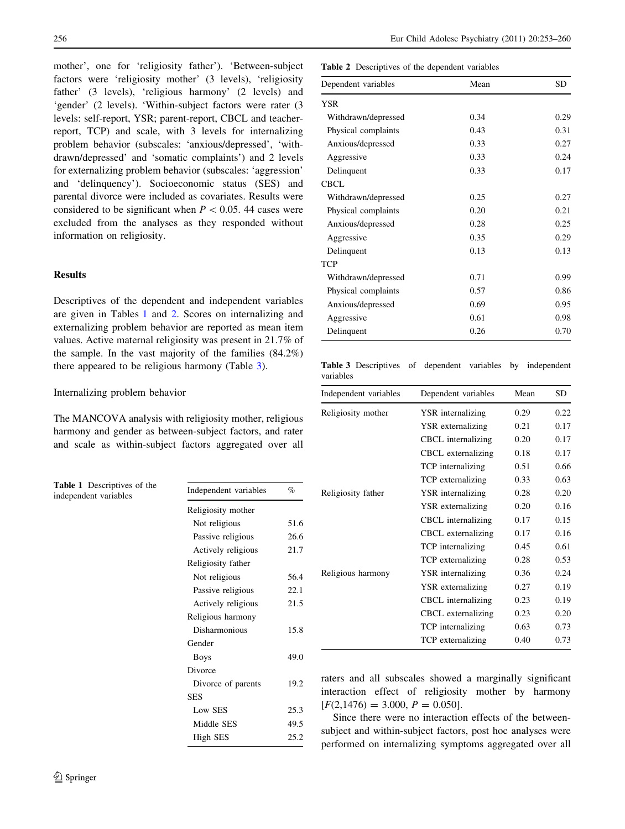mother', one for 'religiosity father'). 'Between-subject factors were 'religiosity mother' (3 levels), 'religiosity father' (3 levels), 'religious harmony' (2 levels) and 'gender' (2 levels). 'Within-subject factors were rater (3 levels: self-report, YSR; parent-report, CBCL and teacherreport, TCP) and scale, with 3 levels for internalizing problem behavior (subscales: 'anxious/depressed', 'withdrawn/depressed' and 'somatic complaints') and 2 levels for externalizing problem behavior (subscales: 'aggression' and 'delinquency'). Socioeconomic status (SES) and parental divorce were included as covariates. Results were considered to be significant when  $P \leq 0.05$ . 44 cases were excluded from the analyses as they responded without information on religiosity.

# Results

Descriptives of the dependent and independent variables are given in Tables 1 and 2. Scores on internalizing and externalizing problem behavior are reported as mean item values. Active maternal religiosity was present in 21.7% of the sample. In the vast majority of the families (84.2%) there appeared to be religious harmony (Table 3).

## Internalizing problem behavior

The MANCOVA analysis with religiosity mother, religious harmony and gender as between-subject factors, and rater and scale as within-subject factors aggregated over all

Table 1 Descriptives of the independent variables

| Independent variables | $\%$ |  |  |
|-----------------------|------|--|--|
| Religiosity mother    |      |  |  |
| Not religious         | 51.6 |  |  |
| Passive religious     | 26.6 |  |  |
| Actively religious    | 21.7 |  |  |
| Religiosity father    |      |  |  |
| Not religious         | 56.4 |  |  |
| Passive religious     | 22.1 |  |  |
| Actively religious    | 21.5 |  |  |
| Religious harmony     |      |  |  |
| Disharmonious         | 15.8 |  |  |
| Gender                |      |  |  |
| <b>Boys</b>           | 49.0 |  |  |
| Divorce               |      |  |  |
| Divorce of parents    | 19.2 |  |  |
| <b>SES</b>            |      |  |  |
| Low SES               | 25.3 |  |  |
| Middle SES            | 49.5 |  |  |
| High SES              | 25.2 |  |  |
|                       |      |  |  |

Table 2 Descriptives of the dependent variables

| Dependent variables | Mean | SD   |
|---------------------|------|------|
| <b>YSR</b>          |      |      |
| Withdrawn/depressed | 0.34 | 0.29 |
| Physical complaints | 0.43 | 0.31 |
| Anxious/depressed   | 0.33 | 0.27 |
| Aggressive          | 0.33 | 0.24 |
| Delinquent          | 0.33 | 0.17 |
| <b>CBCL</b>         |      |      |
| Withdrawn/depressed | 0.25 | 0.27 |
| Physical complaints | 0.20 | 0.21 |
| Anxious/depressed   | 0.28 | 0.25 |
| Aggressive          | 0.35 | 0.29 |
| Delinquent          | 0.13 | 0.13 |
| TCP                 |      |      |
| Withdrawn/depressed | 0.71 | 0.99 |
| Physical complaints | 0.57 | 0.86 |
| Anxious/depressed   | 0.69 | 0.95 |
| Aggressive          | 0.61 | 0.98 |
| Delinquent          | 0.26 | 0.70 |
|                     |      |      |

Table 3 Descriptives of dependent variables by independent variables

| Independent variables | Dependent variables      | Mean | <b>SD</b> |
|-----------------------|--------------------------|------|-----------|
| Religiosity mother    | YSR internalizing        | 0.29 | 0.22      |
|                       | <b>YSR</b> externalizing | 0.21 | 0.17      |
|                       | CBCL internalizing       | 0.20 | 0.17      |
|                       | CBCL externalizing       | 0.18 | 0.17      |
|                       | TCP internalizing        | 0.51 | 0.66      |
|                       | TCP externalizing        | 0.33 | 0.63      |
| Religiosity father    | YSR internalizing        | 0.28 | 0.20      |
|                       | YSR externalizing        | 0.20 | 0.16      |
|                       | CBCL internalizing       | 0.17 | 0.15      |
|                       | CBCL externalizing       | 0.17 | 0.16      |
|                       | TCP internalizing        | 0.45 | 0.61      |
|                       | TCP externalizing        | 0.28 | 0.53      |
| Religious harmony     | YSR internalizing        | 0.36 | 0.24      |
|                       | <b>YSR</b> externalizing | 0.27 | 0.19      |
|                       | CBCL internalizing       | 0.23 | 0.19      |
|                       | CBCL externalizing       | 0.23 | 0.20      |
|                       | TCP internalizing        | 0.63 | 0.73      |
|                       | TCP externalizing        | 0.40 | 0.73      |
|                       |                          |      |           |

raters and all subscales showed a marginally significant interaction effect of religiosity mother by harmony  $[F(2,1476) = 3.000, P = 0.050].$ 

Since there were no interaction effects of the betweensubject and within-subject factors, post hoc analyses were performed on internalizing symptoms aggregated over all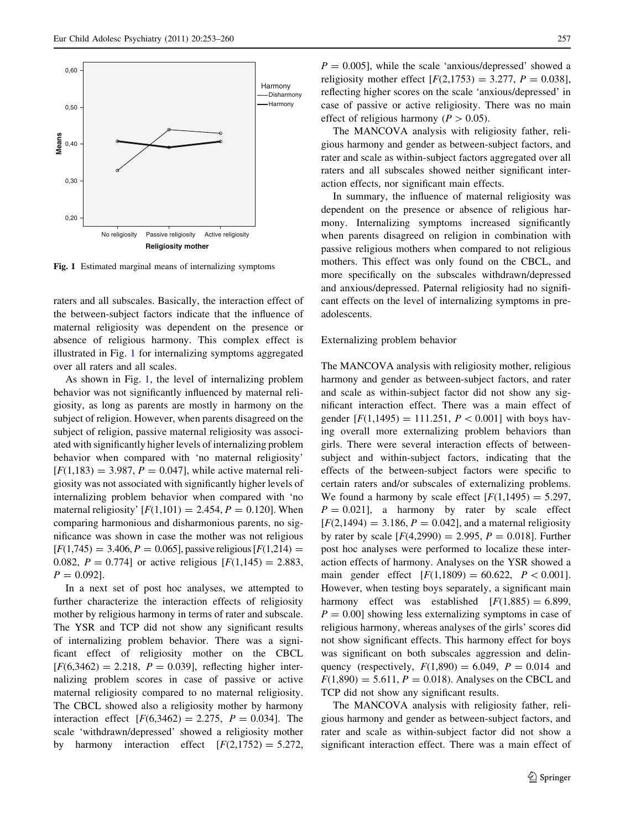

Fig. 1 Estimated marginal means of internalizing symptoms

raters and all subscales. Basically, the interaction effect of the between-subject factors indicate that the influence of maternal religiosity was dependent on the presence or absence of religious harmony. This complex effect is illustrated in Fig. 1 for internalizing symptoms aggregated over all raters and all scales.

As shown in Fig. 1, the level of internalizing problem behavior was not significantly influenced by maternal religiosity, as long as parents are mostly in harmony on the subject of religion. However, when parents disagreed on the subject of religion, passive maternal religiosity was associated with significantly higher levels of internalizing problem behavior when compared with 'no maternal religiosity'  $[F(1,183) = 3.987, P = 0.047]$ , while active maternal religiosity was not associated with significantly higher levels of internalizing problem behavior when compared with 'no maternal religiosity'  $[F(1,101) = 2.454, P = 0.120]$ . When comparing harmonious and disharmonious parents, no significance was shown in case the mother was not religious  $[F(1,745) = 3.406, P = 0.065]$ , passive religious  $[F(1,214) =$ 0.082,  $P = 0.774$ ] or active religious  $[F(1,145) = 2.883]$ ,  $P = 0.092$ .

In a next set of post hoc analyses, we attempted to further characterize the interaction effects of religiosity mother by religious harmony in terms of rater and subscale. The YSR and TCP did not show any significant results of internalizing problem behavior. There was a significant effect of religiosity mother on the CBCL  $[F(6,3462) = 2.218, P = 0.039]$ , reflecting higher internalizing problem scores in case of passive or active maternal religiosity compared to no maternal religiosity. The CBCL showed also a religiosity mother by harmony interaction effect  $[F(6,3462) = 2.275, P = 0.034]$ . The scale 'withdrawn/depressed' showed a religiosity mother by harmony interaction effect  $[F(2,1752) = 5.272]$ ,

 $P = 0.005$ , while the scale 'anxious/depressed' showed a religiosity mother effect  $[F(2,1753) = 3.277, P = 0.038]$ , reflecting higher scores on the scale 'anxious/depressed' in case of passive or active religiosity. There was no main effect of religious harmony ( $P > 0.05$ ).

The MANCOVA analysis with religiosity father, religious harmony and gender as between-subject factors, and rater and scale as within-subject factors aggregated over all raters and all subscales showed neither significant interaction effects, nor significant main effects.

In summary, the influence of maternal religiosity was dependent on the presence or absence of religious harmony. Internalizing symptoms increased significantly when parents disagreed on religion in combination with passive religious mothers when compared to not religious mothers. This effect was only found on the CBCL, and more specifically on the subscales withdrawn/depressed and anxious/depressed. Paternal religiosity had no significant effects on the level of internalizing symptoms in preadolescents.

# Externalizing problem behavior

The MANCOVA analysis with religiosity mother, religious harmony and gender as between-subject factors, and rater and scale as within-subject factor did not show any significant interaction effect. There was a main effect of gender  $[F(1,1495) = 111.251, P < 0.001]$  with boys having overall more externalizing problem behaviors than girls. There were several interaction effects of betweensubject and within-subject factors, indicating that the effects of the between-subject factors were specific to certain raters and/or subscales of externalizing problems. We found a harmony by scale effect  $[F(1,1495) = 5.297$ ,  $P = 0.021$ ], a harmony by rater by scale effect  $[F(2,1494) = 3.186, P = 0.042]$ , and a maternal religiosity by rater by scale  $[F(4,2990) = 2.995, P = 0.018]$ . Further post hoc analyses were performed to localize these interaction effects of harmony. Analyses on the YSR showed a main gender effect  $[F(1,1809) = 60.622, P < 0.001]$ . However, when testing boys separately, a significant main harmony effect was established  $[F(1,885) = 6.899]$ ,  $P = 0.00$ ] showing less externalizing symptoms in case of religious harmony, whereas analyses of the girls' scores did not show significant effects. This harmony effect for boys was significant on both subscales aggression and delinquency (respectively,  $F(1,890) = 6.049$ ,  $P = 0.014$  and  $F(1,890) = 5.611, P = 0.018$ . Analyses on the CBCL and TCP did not show any significant results.

The MANCOVA analysis with religiosity father, religious harmony and gender as between-subject factors, and rater and scale as within-subject factor did not show a significant interaction effect. There was a main effect of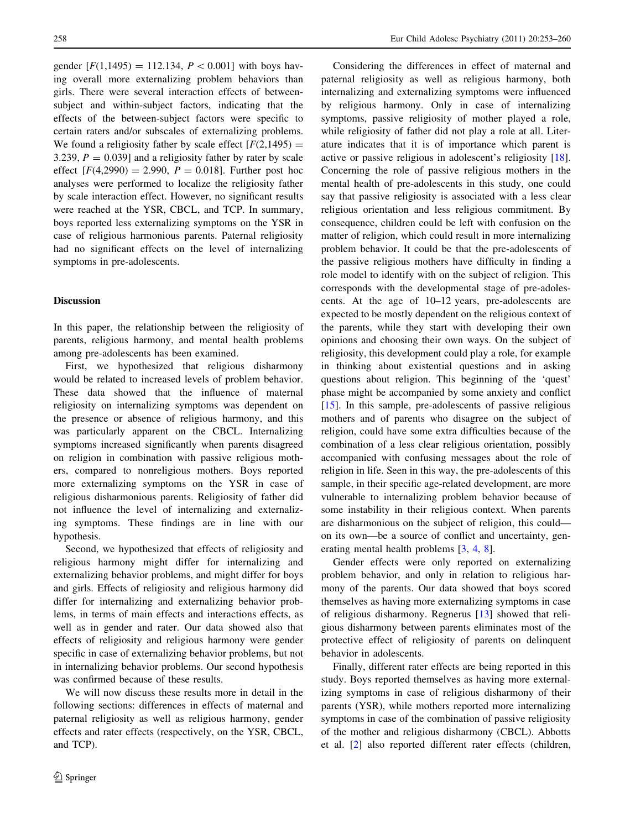gender  $[F(1.1495) = 112.134, P \lt 0.001]$  with boys having overall more externalizing problem behaviors than girls. There were several interaction effects of betweensubject and within-subject factors, indicating that the effects of the between-subject factors were specific to certain raters and/or subscales of externalizing problems. We found a religiosity father by scale effect  $[F(2,1495) =$ 3.239,  $P = 0.039$ ] and a religiosity father by rater by scale effect  $[F(4,2990) = 2.990, P = 0.018]$ . Further post hoc analyses were performed to localize the religiosity father by scale interaction effect. However, no significant results were reached at the YSR, CBCL, and TCP. In summary, boys reported less externalizing symptoms on the YSR in case of religious harmonious parents. Paternal religiosity had no significant effects on the level of internalizing symptoms in pre-adolescents.

#### **Discussion**

In this paper, the relationship between the religiosity of parents, religious harmony, and mental health problems among pre-adolescents has been examined.

First, we hypothesized that religious disharmony would be related to increased levels of problem behavior. These data showed that the influence of maternal religiosity on internalizing symptoms was dependent on the presence or absence of religious harmony, and this was particularly apparent on the CBCL. Internalizing symptoms increased significantly when parents disagreed on religion in combination with passive religious mothers, compared to nonreligious mothers. Boys reported more externalizing symptoms on the YSR in case of religious disharmonious parents. Religiosity of father did not influence the level of internalizing and externalizing symptoms. These findings are in line with our hypothesis.

Second, we hypothesized that effects of religiosity and religious harmony might differ for internalizing and externalizing behavior problems, and might differ for boys and girls. Effects of religiosity and religious harmony did differ for internalizing and externalizing behavior problems, in terms of main effects and interactions effects, as well as in gender and rater. Our data showed also that effects of religiosity and religious harmony were gender specific in case of externalizing behavior problems, but not in internalizing behavior problems. Our second hypothesis was confirmed because of these results.

We will now discuss these results more in detail in the following sections: differences in effects of maternal and paternal religiosity as well as religious harmony, gender effects and rater effects (respectively, on the YSR, CBCL, and TCP).

Considering the differences in effect of maternal and paternal religiosity as well as religious harmony, both internalizing and externalizing symptoms were influenced by religious harmony. Only in case of internalizing symptoms, passive religiosity of mother played a role, while religiosity of father did not play a role at all. Literature indicates that it is of importance which parent is active or passive religious in adolescent's religiosity [\[18](#page-7-0)]. Concerning the role of passive religious mothers in the mental health of pre-adolescents in this study, one could say that passive religiosity is associated with a less clear religious orientation and less religious commitment. By consequence, children could be left with confusion on the matter of religion, which could result in more internalizing problem behavior. It could be that the pre-adolescents of the passive religious mothers have difficulty in finding a role model to identify with on the subject of religion. This corresponds with the developmental stage of pre-adolescents. At the age of 10–12 years, pre-adolescents are expected to be mostly dependent on the religious context of the parents, while they start with developing their own opinions and choosing their own ways. On the subject of religiosity, this development could play a role, for example in thinking about existential questions and in asking questions about religion. This beginning of the 'quest' phase might be accompanied by some anxiety and conflict [\[15](#page-6-0)]. In this sample, pre-adolescents of passive religious mothers and of parents who disagree on the subject of religion, could have some extra difficulties because of the combination of a less clear religious orientation, possibly accompanied with confusing messages about the role of religion in life. Seen in this way, the pre-adolescents of this sample, in their specific age-related development, are more vulnerable to internalizing problem behavior because of some instability in their religious context. When parents are disharmonious on the subject of religion, this could on its own—be a source of conflict and uncertainty, generating mental health problems [[3,](#page-6-0) [4,](#page-6-0) [8](#page-6-0)].

Gender effects were only reported on externalizing problem behavior, and only in relation to religious harmony of the parents. Our data showed that boys scored themselves as having more externalizing symptoms in case of religious disharmony. Regnerus [\[13](#page-6-0)] showed that religious disharmony between parents eliminates most of the protective effect of religiosity of parents on delinquent behavior in adolescents.

Finally, different rater effects are being reported in this study. Boys reported themselves as having more externalizing symptoms in case of religious disharmony of their parents (YSR), while mothers reported more internalizing symptoms in case of the combination of passive religiosity of the mother and religious disharmony (CBCL). Abbotts et al. [[2\]](#page-6-0) also reported different rater effects (children,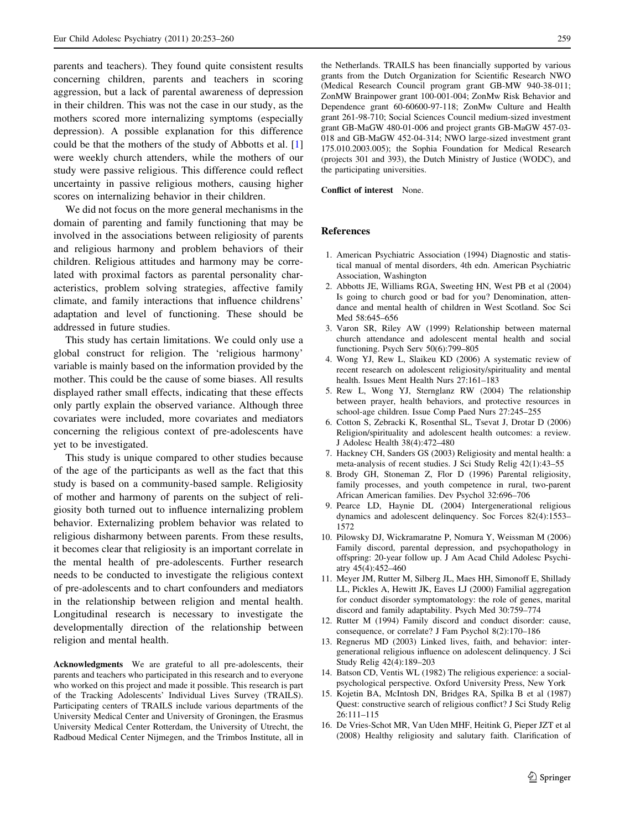<span id="page-6-0"></span>parents and teachers). They found quite consistent results concerning children, parents and teachers in scoring aggression, but a lack of parental awareness of depression in their children. This was not the case in our study, as the mothers scored more internalizing symptoms (especially depression). A possible explanation for this difference could be that the mothers of the study of Abbotts et al. [1] were weekly church attenders, while the mothers of our study were passive religious. This difference could reflect uncertainty in passive religious mothers, causing higher scores on internalizing behavior in their children.

We did not focus on the more general mechanisms in the domain of parenting and family functioning that may be involved in the associations between religiosity of parents and religious harmony and problem behaviors of their children. Religious attitudes and harmony may be correlated with proximal factors as parental personality characteristics, problem solving strategies, affective family climate, and family interactions that influence childrens' adaptation and level of functioning. These should be addressed in future studies.

This study has certain limitations. We could only use a global construct for religion. The 'religious harmony' variable is mainly based on the information provided by the mother. This could be the cause of some biases. All results displayed rather small effects, indicating that these effects only partly explain the observed variance. Although three covariates were included, more covariates and mediators concerning the religious context of pre-adolescents have yet to be investigated.

This study is unique compared to other studies because of the age of the participants as well as the fact that this study is based on a community-based sample. Religiosity of mother and harmony of parents on the subject of religiosity both turned out to influence internalizing problem behavior. Externalizing problem behavior was related to religious disharmony between parents. From these results, it becomes clear that religiosity is an important correlate in the mental health of pre-adolescents. Further research needs to be conducted to investigate the religious context of pre-adolescents and to chart confounders and mediators in the relationship between religion and mental health. Longitudinal research is necessary to investigate the developmentally direction of the relationship between religion and mental health.

Acknowledgments We are grateful to all pre-adolescents, their parents and teachers who participated in this research and to everyone who worked on this project and made it possible. This research is part of the Tracking Adolescents' Individual Lives Survey (TRAILS). Participating centers of TRAILS include various departments of the University Medical Center and University of Groningen, the Erasmus University Medical Center Rotterdam, the University of Utrecht, the Radboud Medical Center Nijmegen, and the Trimbos Institute, all in the Netherlands. TRAILS has been financially supported by various grants from the Dutch Organization for Scientific Research NWO (Medical Research Council program grant GB-MW 940-38-011; ZonMW Brainpower grant 100-001-004; ZonMw Risk Behavior and Dependence grant 60-60600-97-118; ZonMw Culture and Health grant 261-98-710; Social Sciences Council medium-sized investment grant GB-MaGW 480-01-006 and project grants GB-MaGW 457-03- 018 and GB-MaGW 452-04-314; NWO large-sized investment grant 175.010.2003.005); the Sophia Foundation for Medical Research (projects 301 and 393), the Dutch Ministry of Justice (WODC), and the participating universities.

Conflict of interest None.

#### References

- 1. American Psychiatric Association (1994) Diagnostic and statistical manual of mental disorders, 4th edn. American Psychiatric Association, Washington
- 2. Abbotts JE, Williams RGA, Sweeting HN, West PB et al (2004) Is going to church good or bad for you? Denomination, attendance and mental health of children in West Scotland. Soc Sci Med 58:645–656
- 3. Varon SR, Riley AW (1999) Relationship between maternal church attendance and adolescent mental health and social functioning. Psych Serv 50(6):799–805
- 4. Wong YJ, Rew L, Slaikeu KD (2006) A systematic review of recent research on adolescent religiosity/spirituality and mental health. Issues Ment Health Nurs 27:161–183
- 5. Rew L, Wong YJ, Sternglanz RW (2004) The relationship between prayer, health behaviors, and protective resources in school-age children. Issue Comp Paed Nurs 27:245–255
- 6. Cotton S, Zebracki K, Rosenthal SL, Tsevat J, Drotar D (2006) Religion/spirituality and adolescent health outcomes: a review. J Adolesc Health 38(4):472–480
- 7. Hackney CH, Sanders GS (2003) Religiosity and mental health: a meta-analysis of recent studies. J Sci Study Relig 42(1):43–55
- 8. Brody GH, Stoneman Z, Flor D (1996) Parental religiosity, family processes, and youth competence in rural, two-parent African American families. Dev Psychol 32:696–706
- 9. Pearce LD, Haynie DL (2004) Intergenerational religious dynamics and adolescent delinquency. Soc Forces 82(4):1553– 1572
- 10. Pilowsky DJ, Wickramaratne P, Nomura Y, Weissman M (2006) Family discord, parental depression, and psychopathology in offspring: 20-year follow up. J Am Acad Child Adolesc Psychiatry 45(4):452–460
- 11. Meyer JM, Rutter M, Silberg JL, Maes HH, Simonoff E, Shillady LL, Pickles A, Hewitt JK, Eaves LJ (2000) Familial aggregation for conduct disorder symptomatology: the role of genes, marital discord and family adaptability. Psych Med 30:759–774
- 12. Rutter M (1994) Family discord and conduct disorder: cause, consequence, or correlate? J Fam Psychol 8(2):170–186
- 13. Regnerus MD (2003) Linked lives, faith, and behavior: intergenerational religious influence on adolescent delinquency. J Sci Study Relig 42(4):189–203
- 14. Batson CD, Ventis WL (1982) The religious experience: a socialpsychological perspective. Oxford University Press, New York
- 15. Kojetin BA, McIntosh DN, Bridges RA, Spilka B et al (1987) Quest: constructive search of religious conflict? J Sci Study Relig 26:111–115
- 16. De Vries-Schot MR, Van Uden MHF, Heitink G, Pieper JZT et al (2008) Healthy religiosity and salutary faith. Clarification of